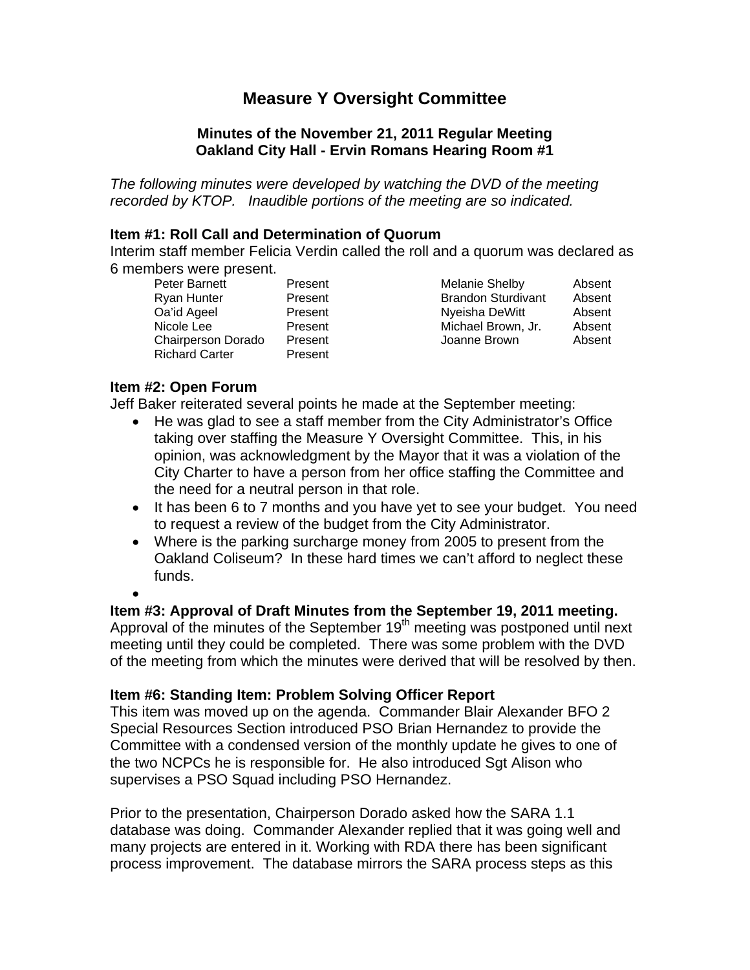# **Measure Y Oversight Committee**

# **Minutes of the November 21, 2011 Regular Meeting Oakland City Hall - Ervin Romans Hearing Room #1**

*The following minutes were developed by watching the DVD of the meeting recorded by KTOP. Inaudible portions of the meeting are so indicated.* 

#### **Item #1: Roll Call and Determination of Quorum**

Interim staff member Felicia Verdin called the roll and a quorum was declared as 6 members were present.

| Peter Barnett             | Present | Melanie Shelby            | Absent |
|---------------------------|---------|---------------------------|--------|
| Ryan Hunter               | Present | <b>Brandon Sturdivant</b> | Absent |
| Oa'id Ageel               | Present | Nyeisha DeWitt            | Absent |
| Nicole Lee                | Present | Michael Brown, Jr.        | Absent |
| <b>Chairperson Dorado</b> | Present | Joanne Brown              | Absent |
| <b>Richard Carter</b>     | Present |                           |        |
|                           |         |                           |        |

#### **Item #2: Open Forum**

Jeff Baker reiterated several points he made at the September meeting:

- He was glad to see a staff member from the City Administrator's Office taking over staffing the Measure Y Oversight Committee. This, in his opinion, was acknowledgment by the Mayor that it was a violation of the City Charter to have a person from her office staffing the Committee and the need for a neutral person in that role.
- It has been 6 to 7 months and you have yet to see your budget. You need to request a review of the budget from the City Administrator.
- Where is the parking surcharge money from 2005 to present from the Oakland Coliseum? In these hard times we can't afford to neglect these funds.

•

# **Item #3: Approval of Draft Minutes from the September 19, 2011 meeting.**

Approval of the minutes of the September  $19<sup>th</sup>$  meeting was postponed until next meeting until they could be completed. There was some problem with the DVD of the meeting from which the minutes were derived that will be resolved by then.

# **Item #6: Standing Item: Problem Solving Officer Report**

This item was moved up on the agenda. Commander Blair Alexander BFO 2 Special Resources Section introduced PSO Brian Hernandez to provide the Committee with a condensed version of the monthly update he gives to one of the two NCPCs he is responsible for. He also introduced Sgt Alison who supervises a PSO Squad including PSO Hernandez.

Prior to the presentation, Chairperson Dorado asked how the SARA 1.1 database was doing. Commander Alexander replied that it was going well and many projects are entered in it. Working with RDA there has been significant process improvement. The database mirrors the SARA process steps as this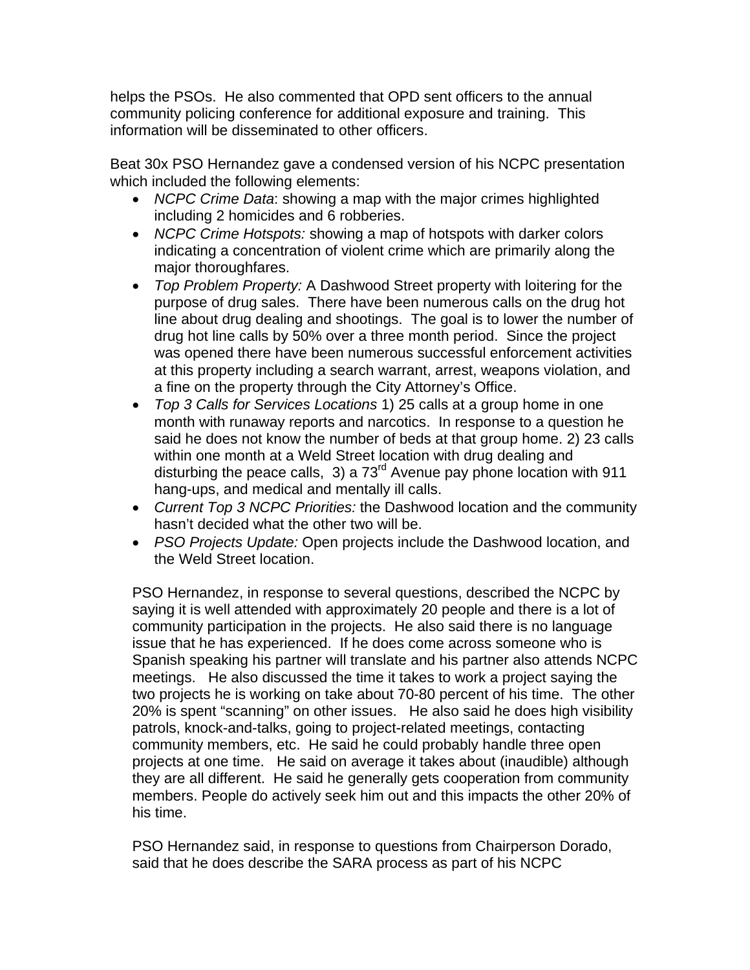helps the PSOs. He also commented that OPD sent officers to the annual community policing conference for additional exposure and training. This information will be disseminated to other officers.

Beat 30x PSO Hernandez gave a condensed version of his NCPC presentation which included the following elements:

- *NCPC Crime Data*: showing a map with the major crimes highlighted including 2 homicides and 6 robberies.
- *NCPC Crime Hotspots:* showing a map of hotspots with darker colors indicating a concentration of violent crime which are primarily along the major thoroughfares.
- *Top Problem Property:* A Dashwood Street property with loitering for the purpose of drug sales. There have been numerous calls on the drug hot line about drug dealing and shootings. The goal is to lower the number of drug hot line calls by 50% over a three month period. Since the project was opened there have been numerous successful enforcement activities at this property including a search warrant, arrest, weapons violation, and a fine on the property through the City Attorney's Office.
- *Top 3 Calls for Services Locations* 1) 25 calls at a group home in one month with runaway reports and narcotics. In response to a question he said he does not know the number of beds at that group home. 2) 23 calls within one month at a Weld Street location with drug dealing and disturbing the peace calls, 3) a 73<sup>rd</sup> Avenue pay phone location with 911 hang-ups, and medical and mentally ill calls.
- *Current Top 3 NCPC Priorities:* the Dashwood location and the community hasn't decided what the other two will be.
- *PSO Projects Update:* Open projects include the Dashwood location, and the Weld Street location.

PSO Hernandez, in response to several questions, described the NCPC by saying it is well attended with approximately 20 people and there is a lot of community participation in the projects. He also said there is no language issue that he has experienced. If he does come across someone who is Spanish speaking his partner will translate and his partner also attends NCPC meetings. He also discussed the time it takes to work a project saying the two projects he is working on take about 70-80 percent of his time. The other 20% is spent "scanning" on other issues. He also said he does high visibility patrols, knock-and-talks, going to project-related meetings, contacting community members, etc. He said he could probably handle three open projects at one time. He said on average it takes about (inaudible) although they are all different. He said he generally gets cooperation from community members. People do actively seek him out and this impacts the other 20% of his time.

PSO Hernandez said, in response to questions from Chairperson Dorado, said that he does describe the SARA process as part of his NCPC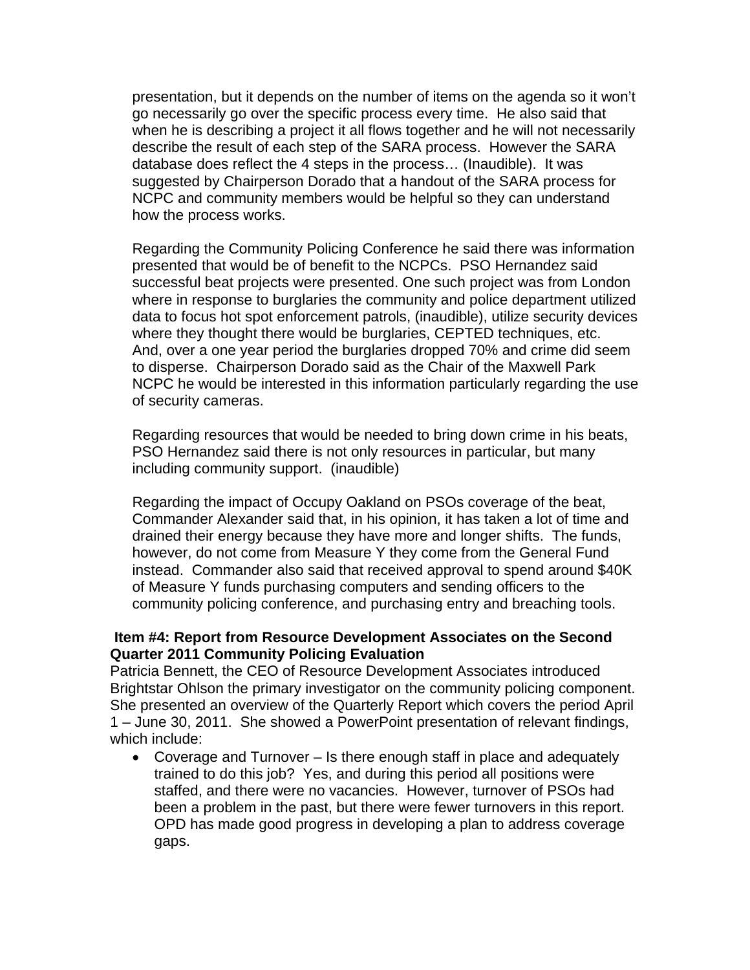presentation, but it depends on the number of items on the agenda so it won't go necessarily go over the specific process every time. He also said that when he is describing a project it all flows together and he will not necessarily describe the result of each step of the SARA process. However the SARA database does reflect the 4 steps in the process… (Inaudible). It was suggested by Chairperson Dorado that a handout of the SARA process for NCPC and community members would be helpful so they can understand how the process works.

Regarding the Community Policing Conference he said there was information presented that would be of benefit to the NCPCs. PSO Hernandez said successful beat projects were presented. One such project was from London where in response to burglaries the community and police department utilized data to focus hot spot enforcement patrols, (inaudible), utilize security devices where they thought there would be burglaries, CEPTED techniques, etc. And, over a one year period the burglaries dropped 70% and crime did seem to disperse. Chairperson Dorado said as the Chair of the Maxwell Park NCPC he would be interested in this information particularly regarding the use of security cameras.

Regarding resources that would be needed to bring down crime in his beats, PSO Hernandez said there is not only resources in particular, but many including community support. (inaudible)

Regarding the impact of Occupy Oakland on PSOs coverage of the beat, Commander Alexander said that, in his opinion, it has taken a lot of time and drained their energy because they have more and longer shifts. The funds, however, do not come from Measure Y they come from the General Fund instead. Commander also said that received approval to spend around \$40K of Measure Y funds purchasing computers and sending officers to the community policing conference, and purchasing entry and breaching tools.

#### **Item #4: Report from Resource Development Associates on the Second Quarter 2011 Community Policing Evaluation**

Patricia Bennett, the CEO of Resource Development Associates introduced Brightstar Ohlson the primary investigator on the community policing component. She presented an overview of the Quarterly Report which covers the period April 1 – June 30, 2011. She showed a PowerPoint presentation of relevant findings, which include:

• Coverage and Turnover – Is there enough staff in place and adequately trained to do this job? Yes, and during this period all positions were staffed, and there were no vacancies. However, turnover of PSOs had been a problem in the past, but there were fewer turnovers in this report. OPD has made good progress in developing a plan to address coverage gaps.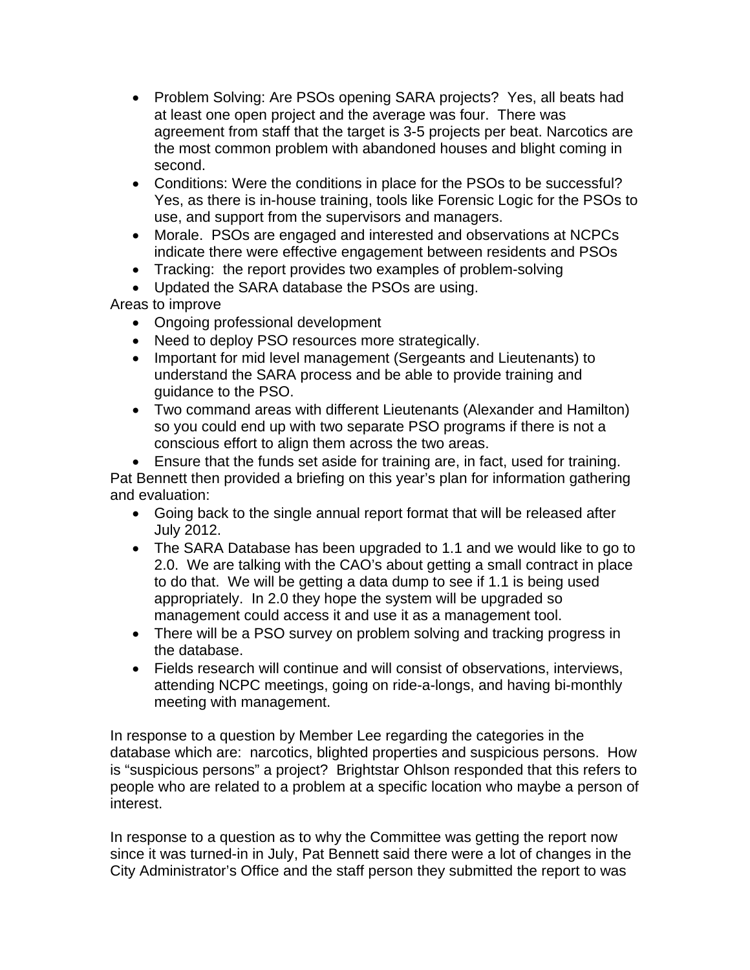- Problem Solving: Are PSOs opening SARA projects? Yes, all beats had at least one open project and the average was four. There was agreement from staff that the target is 3-5 projects per beat. Narcotics are the most common problem with abandoned houses and blight coming in second.
- Conditions: Were the conditions in place for the PSOs to be successful? Yes, as there is in-house training, tools like Forensic Logic for the PSOs to use, and support from the supervisors and managers.
- Morale. PSOs are engaged and interested and observations at NCPCs indicate there were effective engagement between residents and PSOs
- Tracking: the report provides two examples of problem-solving
- Updated the SARA database the PSOs are using.

Areas to improve

- Ongoing professional development
- Need to deploy PSO resources more strategically.
- Important for mid level management (Sergeants and Lieutenants) to understand the SARA process and be able to provide training and guidance to the PSO.
- Two command areas with different Lieutenants (Alexander and Hamilton) so you could end up with two separate PSO programs if there is not a conscious effort to align them across the two areas.
- Ensure that the funds set aside for training are, in fact, used for training. Pat Bennett then provided a briefing on this year's plan for information gathering and evaluation:
	- Going back to the single annual report format that will be released after July 2012.
	- The SARA Database has been upgraded to 1.1 and we would like to go to 2.0. We are talking with the CAO's about getting a small contract in place to do that. We will be getting a data dump to see if 1.1 is being used appropriately. In 2.0 they hope the system will be upgraded so management could access it and use it as a management tool.
	- There will be a PSO survey on problem solving and tracking progress in the database.
	- Fields research will continue and will consist of observations, interviews, attending NCPC meetings, going on ride-a-longs, and having bi-monthly meeting with management.

In response to a question by Member Lee regarding the categories in the database which are: narcotics, blighted properties and suspicious persons. How is "suspicious persons" a project? Brightstar Ohlson responded that this refers to people who are related to a problem at a specific location who maybe a person of interest.

In response to a question as to why the Committee was getting the report now since it was turned-in in July, Pat Bennett said there were a lot of changes in the City Administrator's Office and the staff person they submitted the report to was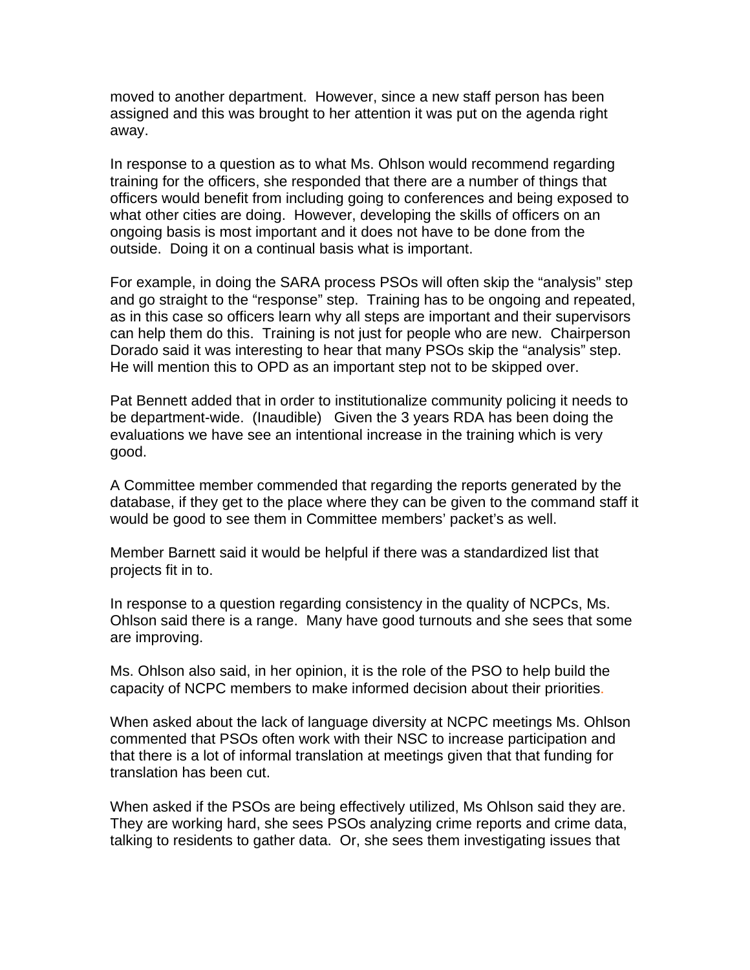moved to another department. However, since a new staff person has been assigned and this was brought to her attention it was put on the agenda right away.

In response to a question as to what Ms. Ohlson would recommend regarding training for the officers, she responded that there are a number of things that officers would benefit from including going to conferences and being exposed to what other cities are doing. However, developing the skills of officers on an ongoing basis is most important and it does not have to be done from the outside. Doing it on a continual basis what is important.

For example, in doing the SARA process PSOs will often skip the "analysis" step and go straight to the "response" step. Training has to be ongoing and repeated, as in this case so officers learn why all steps are important and their supervisors can help them do this. Training is not just for people who are new. Chairperson Dorado said it was interesting to hear that many PSOs skip the "analysis" step. He will mention this to OPD as an important step not to be skipped over.

Pat Bennett added that in order to institutionalize community policing it needs to be department-wide. (Inaudible) Given the 3 years RDA has been doing the evaluations we have see an intentional increase in the training which is very good.

A Committee member commended that regarding the reports generated by the database, if they get to the place where they can be given to the command staff it would be good to see them in Committee members' packet's as well.

Member Barnett said it would be helpful if there was a standardized list that projects fit in to.

In response to a question regarding consistency in the quality of NCPCs, Ms. Ohlson said there is a range. Many have good turnouts and she sees that some are improving.

Ms. Ohlson also said, in her opinion, it is the role of the PSO to help build the capacity of NCPC members to make informed decision about their priorities.

When asked about the lack of language diversity at NCPC meetings Ms. Ohlson commented that PSOs often work with their NSC to increase participation and that there is a lot of informal translation at meetings given that that funding for translation has been cut.

When asked if the PSOs are being effectively utilized, Ms Ohlson said they are. They are working hard, she sees PSOs analyzing crime reports and crime data, talking to residents to gather data. Or, she sees them investigating issues that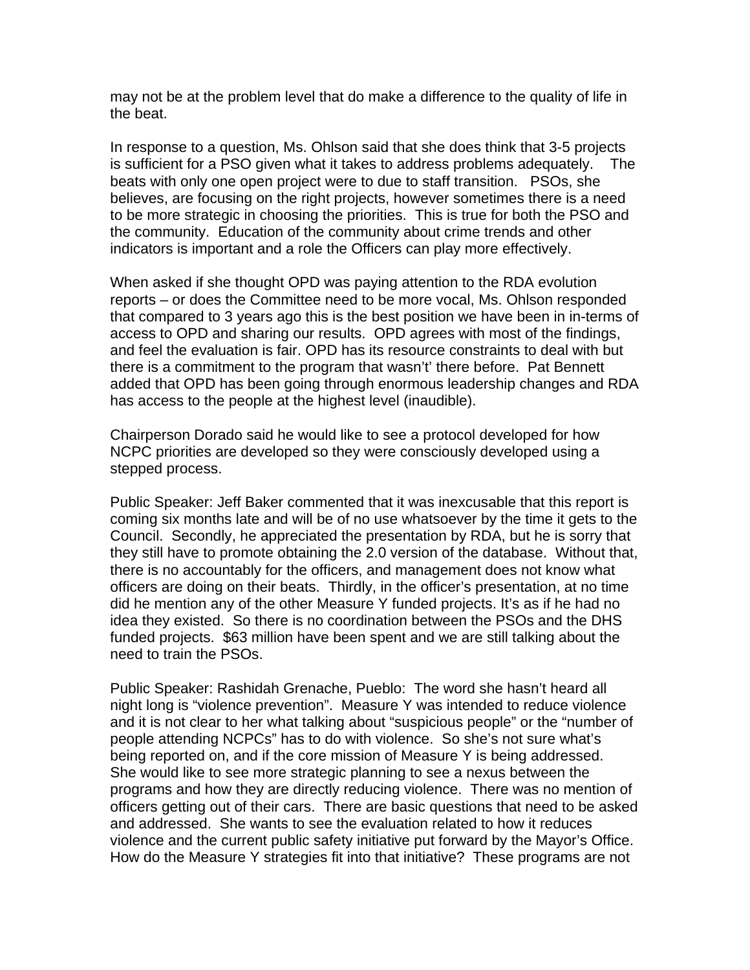may not be at the problem level that do make a difference to the quality of life in the beat.

In response to a question, Ms. Ohlson said that she does think that 3-5 projects is sufficient for a PSO given what it takes to address problems adequately. The beats with only one open project were to due to staff transition. PSOs, she believes, are focusing on the right projects, however sometimes there is a need to be more strategic in choosing the priorities. This is true for both the PSO and the community. Education of the community about crime trends and other indicators is important and a role the Officers can play more effectively.

When asked if she thought OPD was paying attention to the RDA evolution reports – or does the Committee need to be more vocal, Ms. Ohlson responded that compared to 3 years ago this is the best position we have been in in-terms of access to OPD and sharing our results. OPD agrees with most of the findings, and feel the evaluation is fair. OPD has its resource constraints to deal with but there is a commitment to the program that wasn't' there before. Pat Bennett added that OPD has been going through enormous leadership changes and RDA has access to the people at the highest level (inaudible).

Chairperson Dorado said he would like to see a protocol developed for how NCPC priorities are developed so they were consciously developed using a stepped process.

Public Speaker: Jeff Baker commented that it was inexcusable that this report is coming six months late and will be of no use whatsoever by the time it gets to the Council. Secondly, he appreciated the presentation by RDA, but he is sorry that they still have to promote obtaining the 2.0 version of the database. Without that, there is no accountably for the officers, and management does not know what officers are doing on their beats. Thirdly, in the officer's presentation, at no time did he mention any of the other Measure Y funded projects. It's as if he had no idea they existed. So there is no coordination between the PSOs and the DHS funded projects. \$63 million have been spent and we are still talking about the need to train the PSOs.

Public Speaker: Rashidah Grenache, Pueblo: The word she hasn't heard all night long is "violence prevention". Measure Y was intended to reduce violence and it is not clear to her what talking about "suspicious people" or the "number of people attending NCPCs" has to do with violence. So she's not sure what's being reported on, and if the core mission of Measure Y is being addressed. She would like to see more strategic planning to see a nexus between the programs and how they are directly reducing violence. There was no mention of officers getting out of their cars. There are basic questions that need to be asked and addressed. She wants to see the evaluation related to how it reduces violence and the current public safety initiative put forward by the Mayor's Office. How do the Measure Y strategies fit into that initiative? These programs are not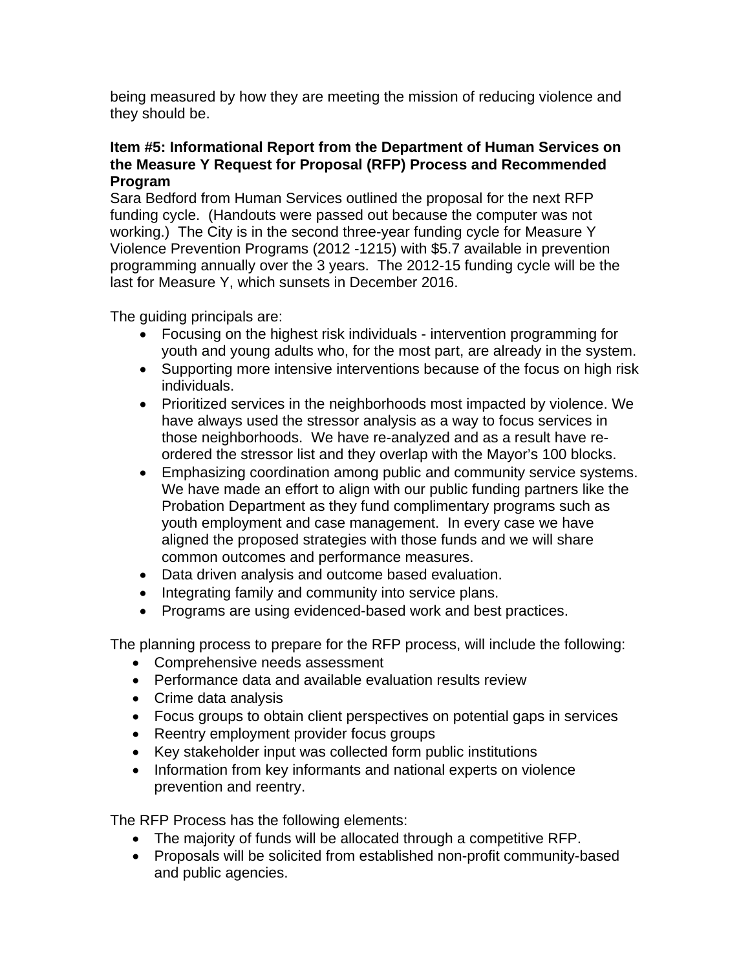being measured by how they are meeting the mission of reducing violence and they should be.

# **Item #5: Informational Report from the Department of Human Services on the Measure Y Request for Proposal (RFP) Process and Recommended Program**

Sara Bedford from Human Services outlined the proposal for the next RFP funding cycle. (Handouts were passed out because the computer was not working.) The City is in the second three-year funding cycle for Measure Y Violence Prevention Programs (2012 -1215) with \$5.7 available in prevention programming annually over the 3 years. The 2012-15 funding cycle will be the last for Measure Y, which sunsets in December 2016.

The guiding principals are:

- Focusing on the highest risk individuals intervention programming for youth and young adults who, for the most part, are already in the system.
- Supporting more intensive interventions because of the focus on high risk individuals.
- Prioritized services in the neighborhoods most impacted by violence. We have always used the stressor analysis as a way to focus services in those neighborhoods. We have re-analyzed and as a result have reordered the stressor list and they overlap with the Mayor's 100 blocks.
- Emphasizing coordination among public and community service systems. We have made an effort to align with our public funding partners like the Probation Department as they fund complimentary programs such as youth employment and case management. In every case we have aligned the proposed strategies with those funds and we will share common outcomes and performance measures.
- Data driven analysis and outcome based evaluation.
- Integrating family and community into service plans.
- Programs are using evidenced-based work and best practices.

The planning process to prepare for the RFP process, will include the following:

- Comprehensive needs assessment
- Performance data and available evaluation results review
- Crime data analysis
- Focus groups to obtain client perspectives on potential gaps in services
- Reentry employment provider focus groups
- Key stakeholder input was collected form public institutions
- Information from key informants and national experts on violence prevention and reentry.

The RFP Process has the following elements:

- The majority of funds will be allocated through a competitive RFP.
- Proposals will be solicited from established non-profit community-based and public agencies.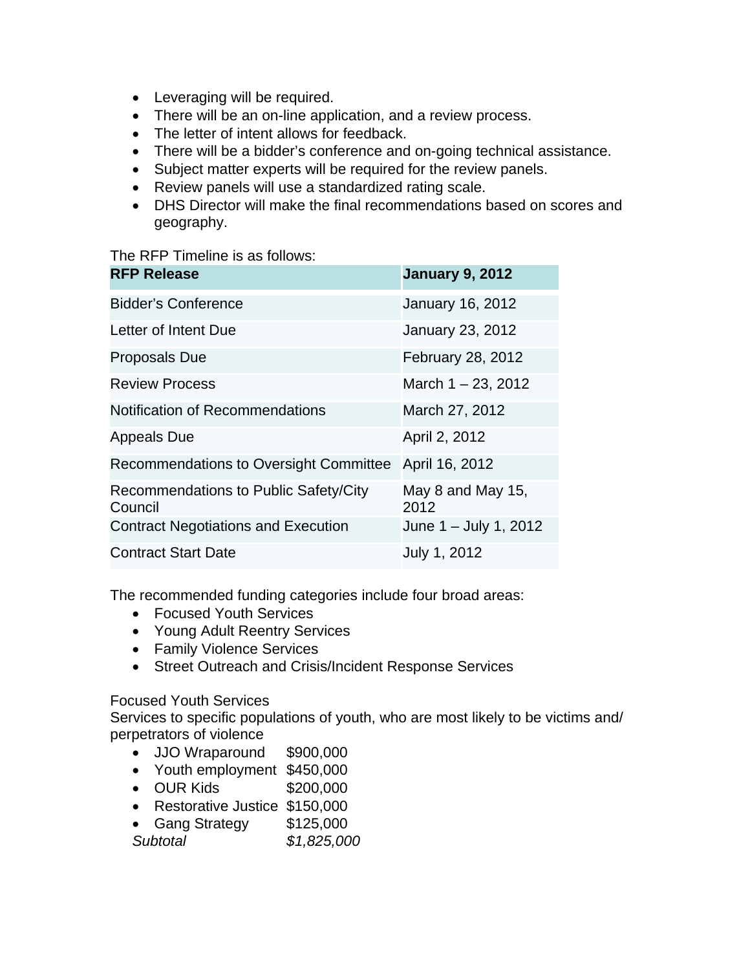- Leveraging will be required.
- There will be an on-line application, and a review process.
- The letter of intent allows for feedback.
- There will be a bidder's conference and on-going technical assistance.
- Subject matter experts will be required for the review panels.
- Review panels will use a standardized rating scale.
- DHS Director will make the final recommendations based on scores and geography.

#### The RFP Timeline is as follows:

| <b>RFP Release</b>                               | <b>January 9, 2012</b>    |
|--------------------------------------------------|---------------------------|
| <b>Bidder's Conference</b>                       | <b>January 16, 2012</b>   |
| Letter of Intent Due                             | <b>January 23, 2012</b>   |
| <b>Proposals Due</b>                             | February 28, 2012         |
| <b>Review Process</b>                            | March $1 - 23$ , 2012     |
| Notification of Recommendations                  | March 27, 2012            |
| <b>Appeals Due</b>                               | April 2, 2012             |
| <b>Recommendations to Oversight Committee</b>    | April 16, 2012            |
| Recommendations to Public Safety/City<br>Council | May 8 and May 15,<br>2012 |
| <b>Contract Negotiations and Execution</b>       | June 1 - July 1, 2012     |
| <b>Contract Start Date</b>                       | July 1, 2012              |

The recommended funding categories include four broad areas:

- Focused Youth Services
- Young Adult Reentry Services
- Family Violence Services
- Street Outreach and Crisis/Incident Response Services

# Focused Youth Services

Services to specific populations of youth, who are most likely to be victims and/ perpetrators of violence

- JJO Wraparound \$900,000
- Youth employment \$450,000
- OUR Kids \$200,000
- Restorative Justice \$150,000
- Gang Strategy \$125,000
- *Subtotal \$1,825,000*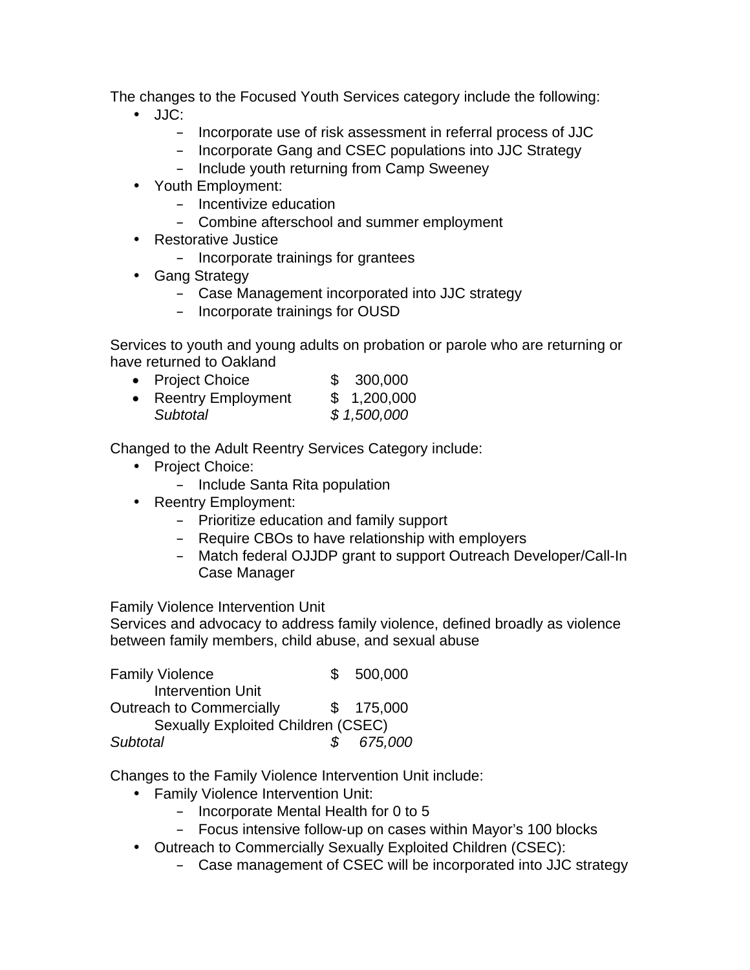The changes to the Focused Youth Services category include the following:

- JJC:
	- Incorporate use of risk assessment in referral process of JJC
	- Incorporate Gang and CSEC populations into JJC Strategy
	- Include youth returning from Camp Sweeney
- Youth Employment:
	- Incentivize education
	- Combine afterschool and summer employment
- Restorative Justice
	- Incorporate trainings for grantees
- Gang Strategy
	- Case Management incorporated into JJC strategy
	- Incorporate trainings for OUSD

Services to youth and young adults on probation or parole who are returning or have returned to Oakland

• Project Choice \$ 300,000 • Reentry Employment \$ 1,200,000 *Subtotal \$ 1,500,000*

Changed to the Adult Reentry Services Category include:

- Project Choice:
	- Include Santa Rita population
- Reentry Employment:
	- Prioritize education and family support
	- Require CBOs to have relationship with employers
	- Match federal OJJDP grant to support Outreach Developer/Call-In Case Manager

Family Violence Intervention Unit

Services and advocacy to address family violence, defined broadly as violence between family members, child abuse, and sexual abuse

| <b>Family Violence</b>                    |               | 500,000   |  |  |  |
|-------------------------------------------|---------------|-----------|--|--|--|
| <b>Intervention Unit</b>                  |               |           |  |  |  |
| <b>Outreach to Commercially</b>           |               | \$175,000 |  |  |  |
| <b>Sexually Exploited Children (CSEC)</b> |               |           |  |  |  |
| <b>Subtotal</b>                           | $\mathcal{S}$ | 675,000   |  |  |  |

Changes to the Family Violence Intervention Unit include:

- Family Violence Intervention Unit:
	- Incorporate Mental Health for 0 to 5
	- Focus intensive follow-up on cases within Mayor's 100 blocks
- Outreach to Commercially Sexually Exploited Children (CSEC):
	- Case management of CSEC will be incorporated into JJC strategy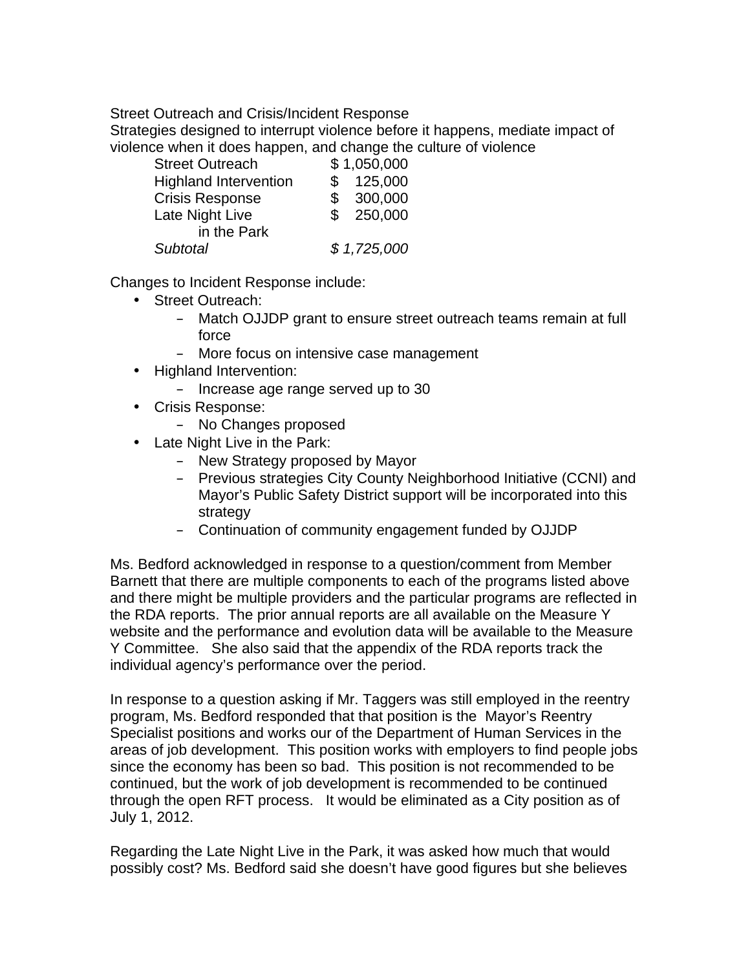Street Outreach and Crisis/Incident Response

Strategies designed to interrupt violence before it happens, mediate impact of violence when it does happen, and change the culture of violence

| <b>Street Outreach</b>       | \$1,050,000 |
|------------------------------|-------------|
| <b>Highland Intervention</b> | 125,000     |
| <b>Crisis Response</b>       | \$300,000   |
| Late Night Live              | \$250,000   |
| in the Park                  |             |
| Subtotal                     | \$1,725,000 |
|                              |             |

Changes to Incident Response include:

- Street Outreach:
	- Match OJJDP grant to ensure street outreach teams remain at full force
	- More focus on intensive case management
- Highland Intervention:
	- Increase age range served up to 30
- Crisis Response:
	- No Changes proposed
- Late Night Live in the Park:
	- New Strategy proposed by Mayor
	- Previous strategies City County Neighborhood Initiative (CCNI) and Mayor's Public Safety District support will be incorporated into this strategy
	- Continuation of community engagement funded by OJJDP

Ms. Bedford acknowledged in response to a question/comment from Member Barnett that there are multiple components to each of the programs listed above and there might be multiple providers and the particular programs are reflected in the RDA reports. The prior annual reports are all available on the Measure Y website and the performance and evolution data will be available to the Measure Y Committee. She also said that the appendix of the RDA reports track the individual agency's performance over the period.

In response to a question asking if Mr. Taggers was still employed in the reentry program, Ms. Bedford responded that that position is the Mayor's Reentry Specialist positions and works our of the Department of Human Services in the areas of job development. This position works with employers to find people jobs since the economy has been so bad. This position is not recommended to be continued, but the work of job development is recommended to be continued through the open RFT process. It would be eliminated as a City position as of July 1, 2012.

Regarding the Late Night Live in the Park, it was asked how much that would possibly cost? Ms. Bedford said she doesn't have good figures but she believes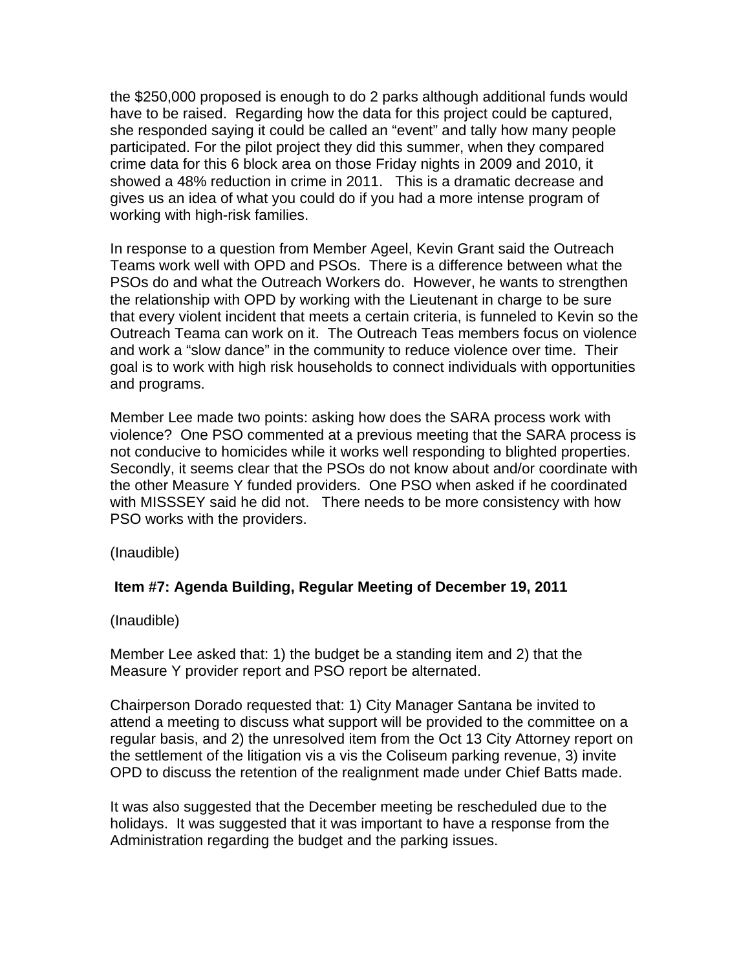the \$250,000 proposed is enough to do 2 parks although additional funds would have to be raised. Regarding how the data for this project could be captured, she responded saying it could be called an "event" and tally how many people participated. For the pilot project they did this summer, when they compared crime data for this 6 block area on those Friday nights in 2009 and 2010, it showed a 48% reduction in crime in 2011. This is a dramatic decrease and gives us an idea of what you could do if you had a more intense program of working with high-risk families.

In response to a question from Member Ageel, Kevin Grant said the Outreach Teams work well with OPD and PSOs. There is a difference between what the PSOs do and what the Outreach Workers do. However, he wants to strengthen the relationship with OPD by working with the Lieutenant in charge to be sure that every violent incident that meets a certain criteria, is funneled to Kevin so the Outreach Teama can work on it. The Outreach Teas members focus on violence and work a "slow dance" in the community to reduce violence over time. Their goal is to work with high risk households to connect individuals with opportunities and programs.

Member Lee made two points: asking how does the SARA process work with violence? One PSO commented at a previous meeting that the SARA process is not conducive to homicides while it works well responding to blighted properties. Secondly, it seems clear that the PSOs do not know about and/or coordinate with the other Measure Y funded providers. One PSO when asked if he coordinated with MISSSEY said he did not. There needs to be more consistency with how PSO works with the providers.

(Inaudible)

# **Item #7: Agenda Building, Regular Meeting of December 19, 2011**

(Inaudible)

Member Lee asked that: 1) the budget be a standing item and 2) that the Measure Y provider report and PSO report be alternated.

Chairperson Dorado requested that: 1) City Manager Santana be invited to attend a meeting to discuss what support will be provided to the committee on a regular basis, and 2) the unresolved item from the Oct 13 City Attorney report on the settlement of the litigation vis a vis the Coliseum parking revenue, 3) invite OPD to discuss the retention of the realignment made under Chief Batts made.

It was also suggested that the December meeting be rescheduled due to the holidays. It was suggested that it was important to have a response from the Administration regarding the budget and the parking issues.